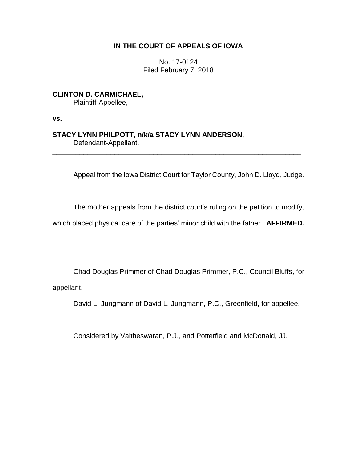# **IN THE COURT OF APPEALS OF IOWA**

No. 17-0124 Filed February 7, 2018

**CLINTON D. CARMICHAEL,** Plaintiff-Appellee,

**vs.**

**STACY LYNN PHILPOTT, n/k/a STACY LYNN ANDERSON,** Defendant-Appellant.

Appeal from the Iowa District Court for Taylor County, John D. Lloyd, Judge.

The mother appeals from the district court's ruling on the petition to modify,

which placed physical care of the parties' minor child with the father. **AFFIRMED.**

\_\_\_\_\_\_\_\_\_\_\_\_\_\_\_\_\_\_\_\_\_\_\_\_\_\_\_\_\_\_\_\_\_\_\_\_\_\_\_\_\_\_\_\_\_\_\_\_\_\_\_\_\_\_\_\_\_\_\_\_\_\_\_\_

Chad Douglas Primmer of Chad Douglas Primmer, P.C., Council Bluffs, for appellant.

David L. Jungmann of David L. Jungmann, P.C., Greenfield, for appellee.

Considered by Vaitheswaran, P.J., and Potterfield and McDonald, JJ.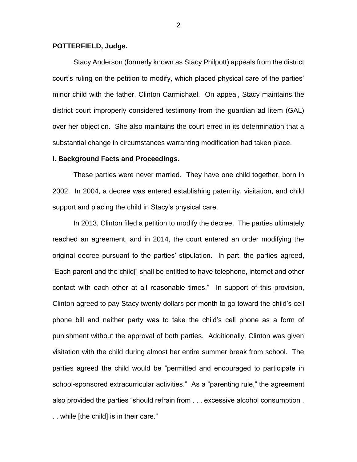## **POTTERFIELD, Judge.**

Stacy Anderson (formerly known as Stacy Philpott) appeals from the district court's ruling on the petition to modify, which placed physical care of the parties' minor child with the father, Clinton Carmichael. On appeal, Stacy maintains the district court improperly considered testimony from the guardian ad litem (GAL) over her objection. She also maintains the court erred in its determination that a substantial change in circumstances warranting modification had taken place.

## **I. Background Facts and Proceedings.**

These parties were never married. They have one child together, born in 2002. In 2004, a decree was entered establishing paternity, visitation, and child support and placing the child in Stacy's physical care.

In 2013, Clinton filed a petition to modify the decree. The parties ultimately reached an agreement, and in 2014, the court entered an order modifying the original decree pursuant to the parties' stipulation. In part, the parties agreed, "Each parent and the child[] shall be entitled to have telephone, internet and other contact with each other at all reasonable times." In support of this provision, Clinton agreed to pay Stacy twenty dollars per month to go toward the child's cell phone bill and neither party was to take the child's cell phone as a form of punishment without the approval of both parties. Additionally, Clinton was given visitation with the child during almost her entire summer break from school. The parties agreed the child would be "permitted and encouraged to participate in school-sponsored extracurricular activities." As a "parenting rule," the agreement also provided the parties "should refrain from . . . excessive alcohol consumption . . . while [the child] is in their care."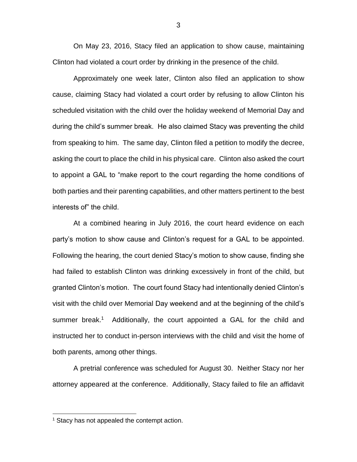On May 23, 2016, Stacy filed an application to show cause, maintaining Clinton had violated a court order by drinking in the presence of the child.

Approximately one week later, Clinton also filed an application to show cause, claiming Stacy had violated a court order by refusing to allow Clinton his scheduled visitation with the child over the holiday weekend of Memorial Day and during the child's summer break. He also claimed Stacy was preventing the child from speaking to him. The same day, Clinton filed a petition to modify the decree, asking the court to place the child in his physical care. Clinton also asked the court to appoint a GAL to "make report to the court regarding the home conditions of both parties and their parenting capabilities, and other matters pertinent to the best interests of" the child.

At a combined hearing in July 2016, the court heard evidence on each party's motion to show cause and Clinton's request for a GAL to be appointed. Following the hearing, the court denied Stacy's motion to show cause, finding she had failed to establish Clinton was drinking excessively in front of the child, but granted Clinton's motion. The court found Stacy had intentionally denied Clinton's visit with the child over Memorial Day weekend and at the beginning of the child's summer break.<sup>1</sup> Additionally, the court appointed a GAL for the child and instructed her to conduct in-person interviews with the child and visit the home of both parents, among other things.

A pretrial conference was scheduled for August 30. Neither Stacy nor her attorney appeared at the conference. Additionally, Stacy failed to file an affidavit

 $\overline{a}$ 

 $1$  Stacy has not appealed the contempt action.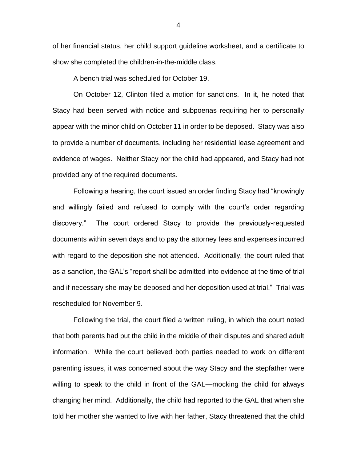of her financial status, her child support guideline worksheet, and a certificate to show she completed the children-in-the-middle class.

A bench trial was scheduled for October 19.

On October 12, Clinton filed a motion for sanctions. In it, he noted that Stacy had been served with notice and subpoenas requiring her to personally appear with the minor child on October 11 in order to be deposed. Stacy was also to provide a number of documents, including her residential lease agreement and evidence of wages. Neither Stacy nor the child had appeared, and Stacy had not provided any of the required documents.

Following a hearing, the court issued an order finding Stacy had "knowingly and willingly failed and refused to comply with the court's order regarding discovery." The court ordered Stacy to provide the previously-requested documents within seven days and to pay the attorney fees and expenses incurred with regard to the deposition she not attended. Additionally, the court ruled that as a sanction, the GAL's "report shall be admitted into evidence at the time of trial and if necessary she may be deposed and her deposition used at trial." Trial was rescheduled for November 9.

Following the trial, the court filed a written ruling, in which the court noted that both parents had put the child in the middle of their disputes and shared adult information. While the court believed both parties needed to work on different parenting issues, it was concerned about the way Stacy and the stepfather were willing to speak to the child in front of the GAL—mocking the child for always changing her mind. Additionally, the child had reported to the GAL that when she told her mother she wanted to live with her father, Stacy threatened that the child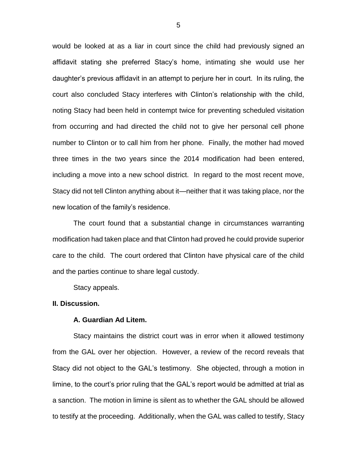would be looked at as a liar in court since the child had previously signed an affidavit stating she preferred Stacy's home, intimating she would use her daughter's previous affidavit in an attempt to perjure her in court. In its ruling, the court also concluded Stacy interferes with Clinton's relationship with the child, noting Stacy had been held in contempt twice for preventing scheduled visitation from occurring and had directed the child not to give her personal cell phone number to Clinton or to call him from her phone. Finally, the mother had moved three times in the two years since the 2014 modification had been entered, including a move into a new school district. In regard to the most recent move, Stacy did not tell Clinton anything about it—neither that it was taking place, nor the new location of the family's residence.

The court found that a substantial change in circumstances warranting modification had taken place and that Clinton had proved he could provide superior care to the child. The court ordered that Clinton have physical care of the child and the parties continue to share legal custody.

Stacy appeals.

#### **II. Discussion.**

## **A. Guardian Ad Litem.**

Stacy maintains the district court was in error when it allowed testimony from the GAL over her objection. However, a review of the record reveals that Stacy did not object to the GAL's testimony. She objected, through a motion in limine, to the court's prior ruling that the GAL's report would be admitted at trial as a sanction. The motion in limine is silent as to whether the GAL should be allowed to testify at the proceeding. Additionally, when the GAL was called to testify, Stacy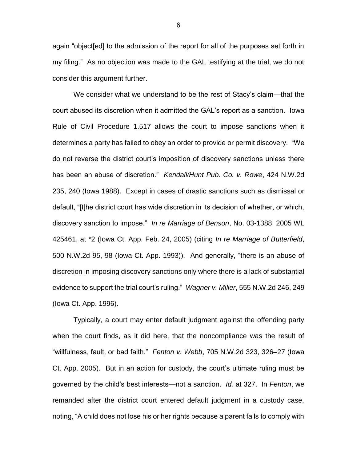again "object[ed] to the admission of the report for all of the purposes set forth in my filing." As no objection was made to the GAL testifying at the trial, we do not consider this argument further.

We consider what we understand to be the rest of Stacy's claim—that the court abused its discretion when it admitted the GAL's report as a sanction. Iowa Rule of Civil Procedure 1.517 allows the court to impose sanctions when it determines a party has failed to obey an order to provide or permit discovery. "We do not reverse the district court's imposition of discovery sanctions unless there has been an abuse of discretion." *Kendall/Hunt Pub. Co. v. Rowe*, 424 N.W.2d 235, 240 (Iowa 1988). Except in cases of drastic sanctions such as dismissal or default, "[t]he district court has wide discretion in its decision of whether, or which, discovery sanction to impose." *In re Marriage of Benson*, No. 03-1388, 2005 WL 425461, at \*2 (Iowa Ct. App. Feb. 24, 2005) (citing *In re Marriage of Butterfield*, 500 N.W.2d 95, 98 (Iowa Ct. App. 1993)). And generally, "there is an abuse of discretion in imposing discovery sanctions only where there is a lack of substantial evidence to support the trial court's ruling." *Wagner v. Miller*, 555 N.W.2d 246, 249 (Iowa Ct. App. 1996).

Typically, a court may enter default judgment against the offending party when the court finds, as it did here, that the noncompliance was the result of "willfulness, fault, or bad faith." *Fenton v. Webb*, 705 N.W.2d 323, 326–27 (Iowa Ct. App. 2005). But in an action for custody, the court's ultimate ruling must be governed by the child's best interests—not a sanction. *Id.* at 327. In *Fenton*, we remanded after the district court entered default judgment in a custody case, noting, "A child does not lose his or her rights because a parent fails to comply with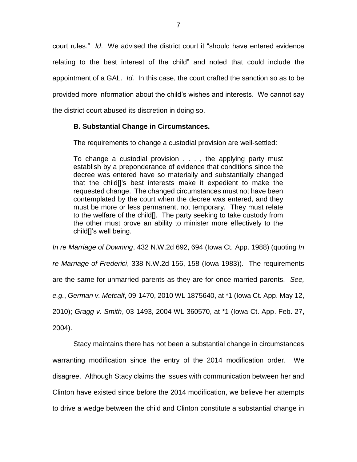court rules." *Id*. We advised the district court it "should have entered evidence relating to the best interest of the child" and noted that could include the appointment of a GAL. *Id.* In this case, the court crafted the sanction so as to be provided more information about the child's wishes and interests. We cannot say the district court abused its discretion in doing so.

## **B. Substantial Change in Circumstances.**

The requirements to change a custodial provision are well-settled:

To change a custodial provision . . . , the applying party must establish by a preponderance of evidence that conditions since the decree was entered have so materially and substantially changed that the child[]'s best interests make it expedient to make the requested change. The changed circumstances must not have been contemplated by the court when the decree was entered, and they must be more or less permanent, not temporary. They must relate to the welfare of the child[]. The party seeking to take custody from the other must prove an ability to minister more effectively to the child[]'s well being.

*In re Marriage of Downing*, 432 N.W.2d 692, 694 (Iowa Ct. App. 1988) (quoting *In re Marriage of Frederici*, 338 N.W.2d 156, 158 (Iowa 1983)). The requirements are the same for unmarried parents as they are for once-married parents. *See, e.g.*, *German v. Metcalf*, 09-1470, 2010 WL 1875640, at \*1 (Iowa Ct. App. May 12, 2010); *Gragg v. Smith*, 03-1493, 2004 WL 360570, at \*1 (Iowa Ct. App. Feb. 27, 2004).

Stacy maintains there has not been a substantial change in circumstances warranting modification since the entry of the 2014 modification order. We disagree. Although Stacy claims the issues with communication between her and Clinton have existed since before the 2014 modification, we believe her attempts to drive a wedge between the child and Clinton constitute a substantial change in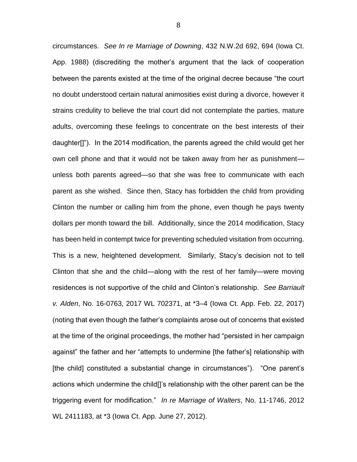circumstances. *See In re Marriage of Downing*, 432 N.W.2d 692, 694 (Iowa Ct. App. 1988) (discrediting the mother's argument that the lack of cooperation between the parents existed at the time of the original decree because "the court no doubt understood certain natural animosities exist during a divorce, however it strains credulity to believe the trial court did not contemplate the parties, mature adults, overcoming these feelings to concentrate on the best interests of their daughter[]"). In the 2014 modification, the parents agreed the child would get her own cell phone and that it would not be taken away from her as punishment unless both parents agreed—so that she was free to communicate with each parent as she wished. Since then, Stacy has forbidden the child from providing Clinton the number or calling him from the phone, even though he pays twenty dollars per month toward the bill. Additionally, since the 2014 modification, Stacy has been held in contempt twice for preventing scheduled visitation from occurring. This is a new, heightened development. Similarly, Stacy's decision not to tell Clinton that she and the child—along with the rest of her family—were moving residences is not supportive of the child and Clinton's relationship. *See Barriault v. Alden*, No. 16-0763, 2017 WL 702371, at \*3–4 (Iowa Ct. App. Feb. 22, 2017) (noting that even though the father's complaints arose out of concerns that existed at the time of the original proceedings, the mother had "persisted in her campaign against" the father and her "attempts to undermine [the father's] relationship with [the child] constituted a substantial change in circumstances"). "One parent's actions which undermine the child[]'s relationship with the other parent can be the triggering event for modification." *In re Marriage of Walters*, No. 11-1746, 2012 WL 2411183, at \*3 (Iowa Ct. App. June 27, 2012).